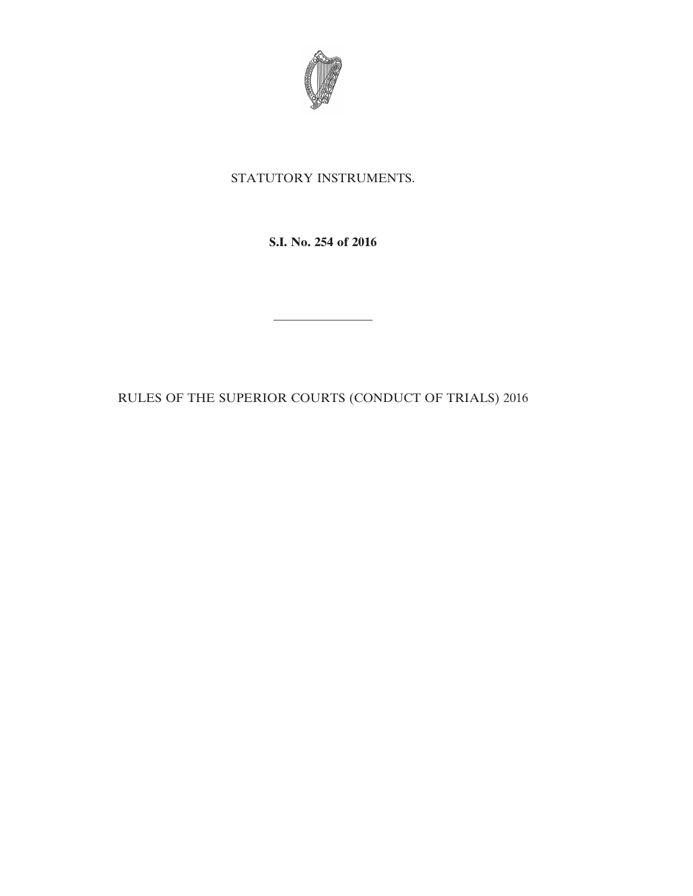

# STATUTORY INSTRUMENTS.

**S.I. No. 254 of 2016**

RULES OF THE SUPERIOR COURTS (CONDUCT OF TRIALS) 2016

————————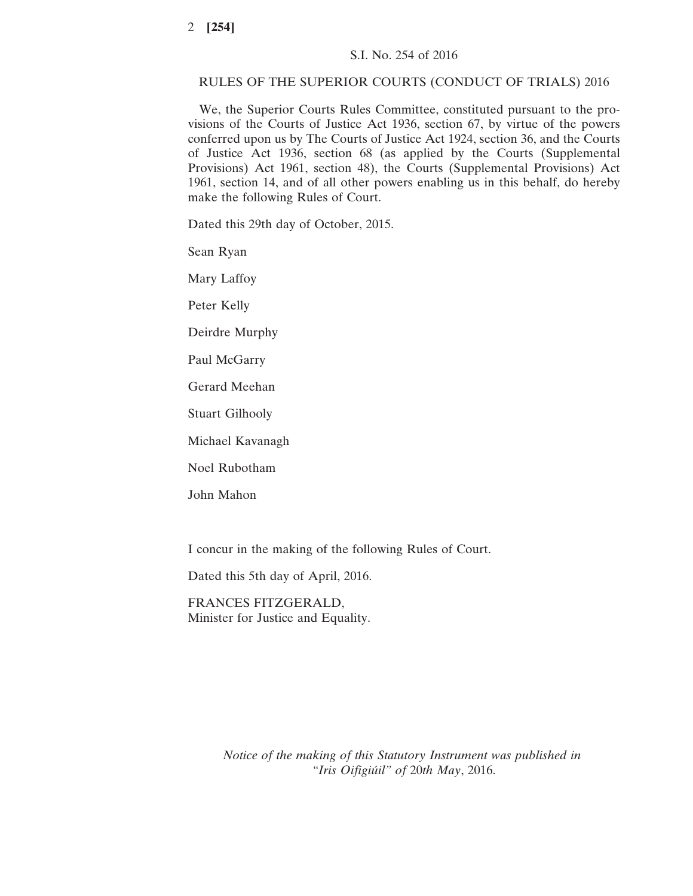## RULES OF THE SUPERIOR COURTS (CONDUCT OF TRIALS) 2016

We, the Superior Courts Rules Committee, constituted pursuant to the provisions of the Courts of Justice Act 1936, section 67, by virtue of the powers conferred upon us by The Courts of Justice Act 1924, section 36, and the Courts of Justice Act 1936, section 68 (as applied by the Courts (Supplemental Provisions) Act 1961, section 48), the Courts (Supplemental Provisions) Act 1961, section 14, and of all other powers enabling us in this behalf, do hereby make the following Rules of Court.

Dated this 29th day of October, 2015.

Sean Ryan

Mary Laffoy

Peter Kelly

Deirdre Murphy

Paul McGarry

Gerard Meehan

Stuart Gilhooly

Michael Kavanagh

Noel Rubotham

John Mahon

I concur in the making of the following Rules of Court.

Dated this 5th day of April, 2016.

FRANCES FITZGERALD, Minister for Justice and Equality.

> *Notice of the making of this Statutory Instrument was published in "Iris Oifigiúil" of* 20*th May*, 2016.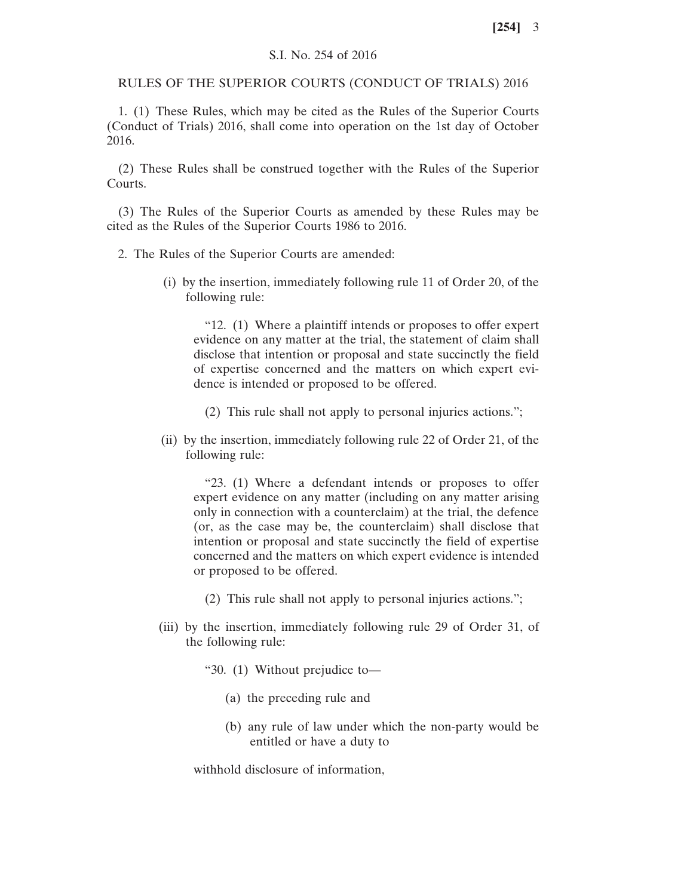# S.I. No. 254 of 2016

RULES OF THE SUPERIOR COURTS (CONDUCT OF TRIALS) 2016

1. (1) These Rules, which may be cited as the Rules of the Superior Courts (Conduct of Trials) 2016, shall come into operation on the 1st day of October 2016.

(2) These Rules shall be construed together with the Rules of the Superior Courts.

(3) The Rules of the Superior Courts as amended by these Rules may be cited as the Rules of the Superior Courts 1986 to 2016.

2. The Rules of the Superior Courts are amended:

(i) by the insertion, immediately following rule 11 of Order 20, of the following rule:

"12. (1) Where a plaintiff intends or proposes to offer expert evidence on any matter at the trial, the statement of claim shall disclose that intention or proposal and state succinctly the field of expertise concerned and the matters on which expert evidence is intended or proposed to be offered.

- (2) This rule shall not apply to personal injuries actions.";
- (ii) by the insertion, immediately following rule 22 of Order 21, of the following rule:

"23. (1) Where a defendant intends or proposes to offer expert evidence on any matter (including on any matter arising only in connection with a counterclaim) at the trial, the defence (or, as the case may be, the counterclaim) shall disclose that intention or proposal and state succinctly the field of expertise concerned and the matters on which expert evidence is intended or proposed to be offered.

- (2) This rule shall not apply to personal injuries actions.";
- (iii) by the insertion, immediately following rule 29 of Order 31, of the following rule:
	- "30. (1) Without prejudice to—
		- (a) the preceding rule and
		- (b) any rule of law under which the non-party would be entitled or have a duty to

withhold disclosure of information,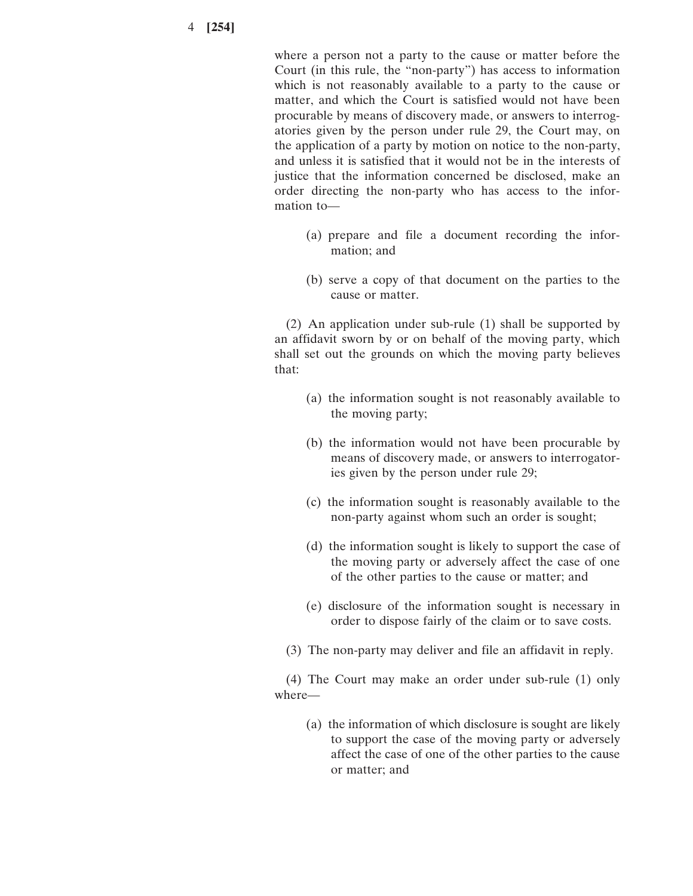where a person not a party to the cause or matter before the Court (in this rule, the "non-party") has access to information which is not reasonably available to a party to the cause or matter, and which the Court is satisfied would not have been procurable by means of discovery made, or answers to interrogatories given by the person under rule 29, the Court may, on the application of a party by motion on notice to the non-party, and unless it is satisfied that it would not be in the interests of justice that the information concerned be disclosed, make an order directing the non-party who has access to the information to—

- (a) prepare and file a document recording the information; and
- (b) serve a copy of that document on the parties to the cause or matter.

(2) An application under sub-rule (1) shall be supported by an affidavit sworn by or on behalf of the moving party, which shall set out the grounds on which the moving party believes that:

- (a) the information sought is not reasonably available to the moving party;
- (b) the information would not have been procurable by means of discovery made, or answers to interrogatories given by the person under rule 29;
- (c) the information sought is reasonably available to the non-party against whom such an order is sought;
- (d) the information sought is likely to support the case of the moving party or adversely affect the case of one of the other parties to the cause or matter; and
- (e) disclosure of the information sought is necessary in order to dispose fairly of the claim or to save costs.
- (3) The non-party may deliver and file an affidavit in reply.

(4) The Court may make an order under sub-rule (1) only where—

(a) the information of which disclosure is sought are likely to support the case of the moving party or adversely affect the case of one of the other parties to the cause or matter; and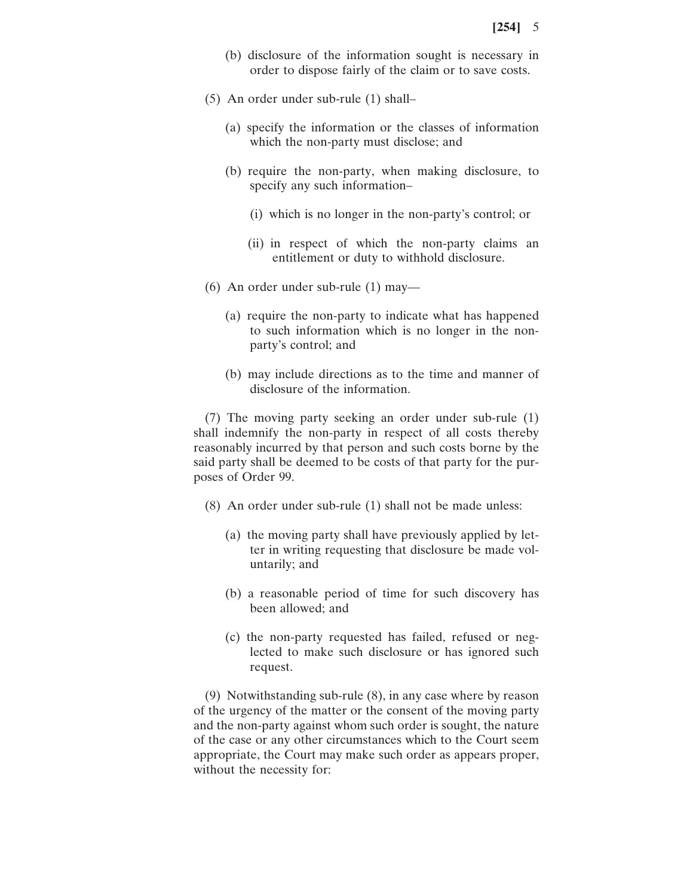- (b) disclosure of the information sought is necessary in order to dispose fairly of the claim or to save costs.
- (5) An order under sub-rule (1) shall–
	- (a) specify the information or the classes of information which the non-party must disclose; and
	- (b) require the non-party, when making disclosure, to specify any such information–
		- (i) which is no longer in the non-party's control; or
		- (ii) in respect of which the non-party claims an entitlement or duty to withhold disclosure.
- (6) An order under sub-rule (1) may—
	- (a) require the non-party to indicate what has happened to such information which is no longer in the nonparty's control; and
	- (b) may include directions as to the time and manner of disclosure of the information.

(7) The moving party seeking an order under sub-rule (1) shall indemnify the non-party in respect of all costs thereby reasonably incurred by that person and such costs borne by the said party shall be deemed to be costs of that party for the purposes of Order 99.

- (8) An order under sub-rule (1) shall not be made unless:
	- (a) the moving party shall have previously applied by letter in writing requesting that disclosure be made voluntarily; and
	- (b) a reasonable period of time for such discovery has been allowed; and
	- (c) the non-party requested has failed, refused or neglected to make such disclosure or has ignored such request.

(9) Notwithstanding sub-rule (8), in any case where by reason of the urgency of the matter or the consent of the moving party and the non-party against whom such order is sought, the nature of the case or any other circumstances which to the Court seem appropriate, the Court may make such order as appears proper, without the necessity for: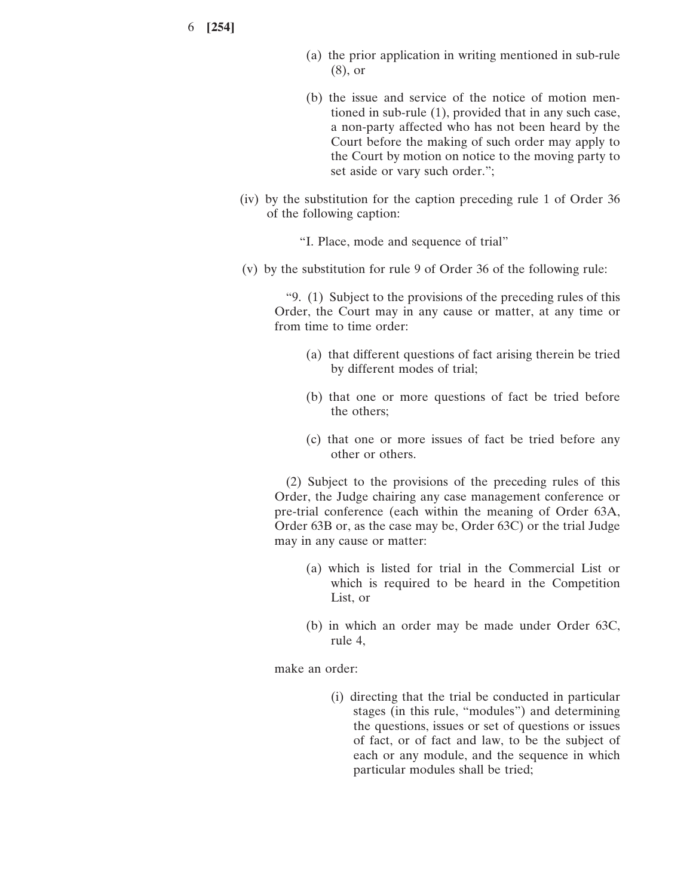- (a) the prior application in writing mentioned in sub-rule (8), or
- (b) the issue and service of the notice of motion mentioned in sub-rule (1), provided that in any such case, a non-party affected who has not been heard by the Court before the making of such order may apply to the Court by motion on notice to the moving party to set aside or vary such order.";
- (iv) by the substitution for the caption preceding rule 1 of Order 36 of the following caption:
	- "I. Place, mode and sequence of trial"
- (v) by the substitution for rule 9 of Order 36 of the following rule:

"9. (1) Subject to the provisions of the preceding rules of this Order, the Court may in any cause or matter, at any time or from time to time order:

- (a) that different questions of fact arising therein be tried by different modes of trial;
- (b) that one or more questions of fact be tried before the others;
- (c) that one or more issues of fact be tried before any other or others.

(2) Subject to the provisions of the preceding rules of this Order, the Judge chairing any case management conference or pre-trial conference (each within the meaning of Order 63A, Order 63B or, as the case may be, Order 63C) or the trial Judge may in any cause or matter:

- (a) which is listed for trial in the Commercial List or which is required to be heard in the Competition List, or
- (b) in which an order may be made under Order 63C, rule 4,

make an order:

(i) directing that the trial be conducted in particular stages (in this rule, "modules") and determining the questions, issues or set of questions or issues of fact, or of fact and law, to be the subject of each or any module, and the sequence in which particular modules shall be tried;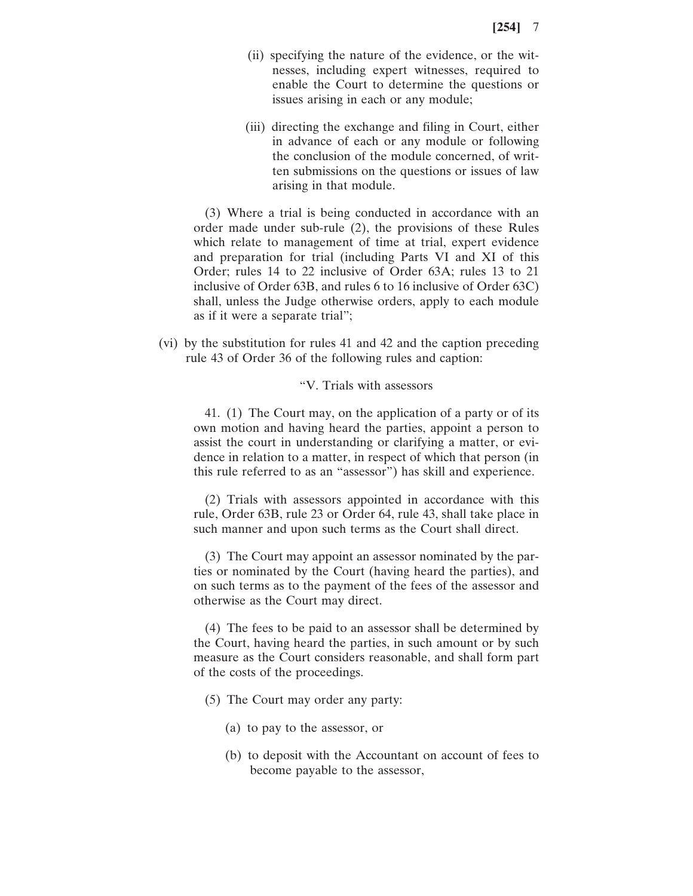- (ii) specifying the nature of the evidence, or the witnesses, including expert witnesses, required to enable the Court to determine the questions or issues arising in each or any module;
- (iii) directing the exchange and filing in Court, either in advance of each or any module or following the conclusion of the module concerned, of written submissions on the questions or issues of law arising in that module.

(3) Where a trial is being conducted in accordance with an order made under sub-rule (2), the provisions of these Rules which relate to management of time at trial, expert evidence and preparation for trial (including Parts VI and XI of this Order; rules 14 to 22 inclusive of Order 63A; rules 13 to 21 inclusive of Order 63B, and rules 6 to 16 inclusive of Order 63C) shall, unless the Judge otherwise orders, apply to each module as if it were a separate trial";

(vi) by the substitution for rules 41 and 42 and the caption preceding rule 43 of Order 36 of the following rules and caption:

### "V. Trials with assessors

41. (1) The Court may, on the application of a party or of its own motion and having heard the parties, appoint a person to assist the court in understanding or clarifying a matter, or evidence in relation to a matter, in respect of which that person (in this rule referred to as an "assessor") has skill and experience.

(2) Trials with assessors appointed in accordance with this rule, Order 63B, rule 23 or Order 64, rule 43, shall take place in such manner and upon such terms as the Court shall direct.

(3) The Court may appoint an assessor nominated by the parties or nominated by the Court (having heard the parties), and on such terms as to the payment of the fees of the assessor and otherwise as the Court may direct.

(4) The fees to be paid to an assessor shall be determined by the Court, having heard the parties, in such amount or by such measure as the Court considers reasonable, and shall form part of the costs of the proceedings.

- (5) The Court may order any party:
	- (a) to pay to the assessor, or
	- (b) to deposit with the Accountant on account of fees to become payable to the assessor,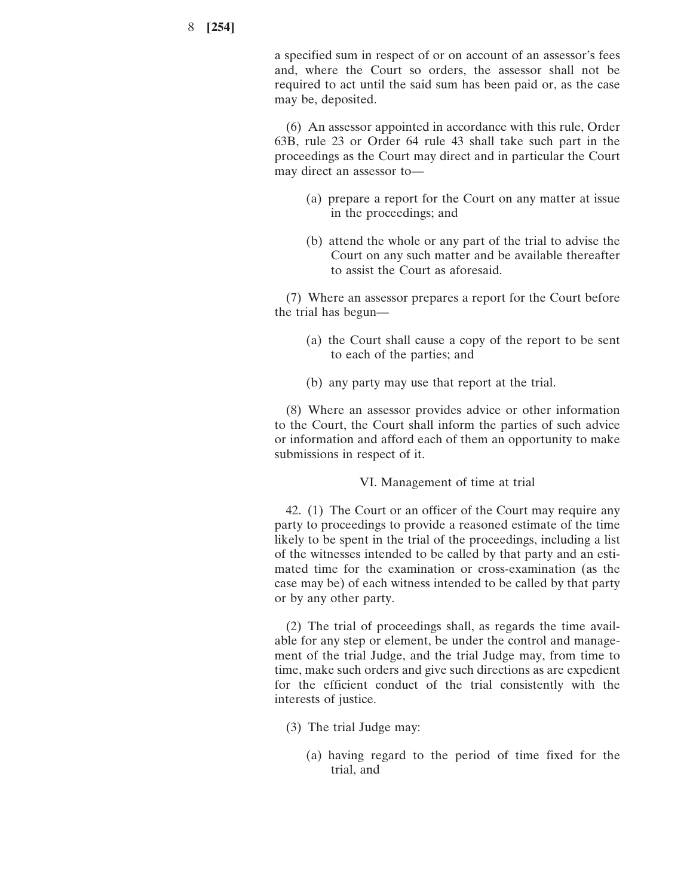a specified sum in respect of or on account of an assessor's fees and, where the Court so orders, the assessor shall not be required to act until the said sum has been paid or, as the case may be, deposited.

(6) An assessor appointed in accordance with this rule, Order 63B, rule 23 or Order 64 rule 43 shall take such part in the proceedings as the Court may direct and in particular the Court may direct an assessor to—

- (a) prepare a report for the Court on any matter at issue in the proceedings; and
- (b) attend the whole or any part of the trial to advise the Court on any such matter and be available thereafter to assist the Court as aforesaid.

(7) Where an assessor prepares a report for the Court before the trial has begun—

- (a) the Court shall cause a copy of the report to be sent to each of the parties; and
- (b) any party may use that report at the trial.

(8) Where an assessor provides advice or other information to the Court, the Court shall inform the parties of such advice or information and afford each of them an opportunity to make submissions in respect of it.

# VI. Management of time at trial

42. (1) The Court or an officer of the Court may require any party to proceedings to provide a reasoned estimate of the time likely to be spent in the trial of the proceedings, including a list of the witnesses intended to be called by that party and an estimated time for the examination or cross-examination (as the case may be) of each witness intended to be called by that party or by any other party.

(2) The trial of proceedings shall, as regards the time available for any step or element, be under the control and management of the trial Judge, and the trial Judge may, from time to time, make such orders and give such directions as are expedient for the efficient conduct of the trial consistently with the interests of justice.

- (3) The trial Judge may:
	- (a) having regard to the period of time fixed for the trial, and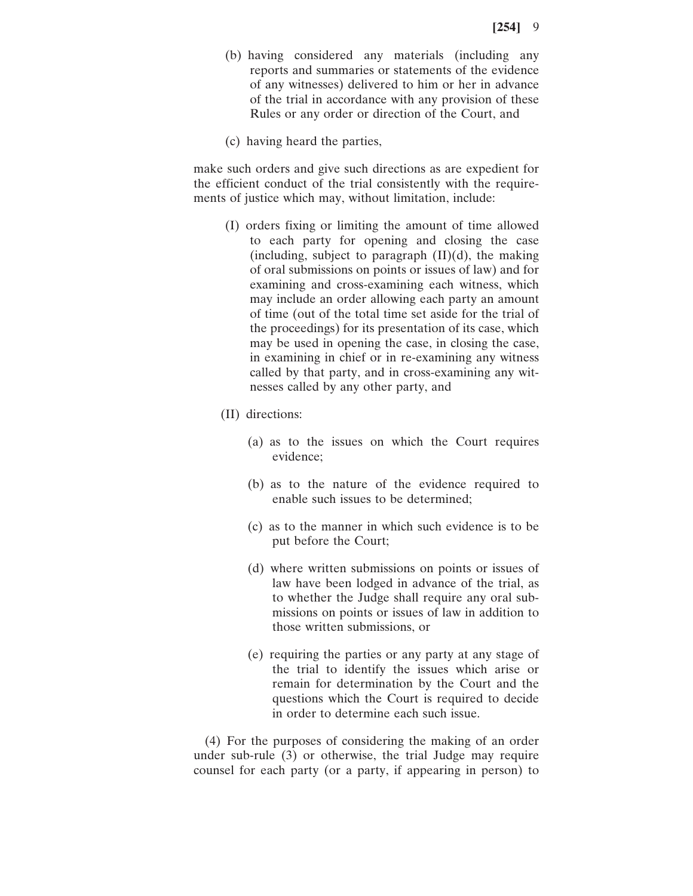- (b) having considered any materials (including any reports and summaries or statements of the evidence of any witnesses) delivered to him or her in advance of the trial in accordance with any provision of these Rules or any order or direction of the Court, and
- (c) having heard the parties,

make such orders and give such directions as are expedient for the efficient conduct of the trial consistently with the requirements of justice which may, without limitation, include:

- (I) orders fixing or limiting the amount of time allowed to each party for opening and closing the case (including, subject to paragraph (II)(d), the making of oral submissions on points or issues of law) and for examining and cross-examining each witness, which may include an order allowing each party an amount of time (out of the total time set aside for the trial of the proceedings) for its presentation of its case, which may be used in opening the case, in closing the case, in examining in chief or in re-examining any witness called by that party, and in cross-examining any witnesses called by any other party, and
- (II) directions:
	- (a) as to the issues on which the Court requires evidence;
	- (b) as to the nature of the evidence required to enable such issues to be determined;
	- (c) as to the manner in which such evidence is to be put before the Court;
	- (d) where written submissions on points or issues of law have been lodged in advance of the trial, as to whether the Judge shall require any oral submissions on points or issues of law in addition to those written submissions, or
	- (e) requiring the parties or any party at any stage of the trial to identify the issues which arise or remain for determination by the Court and the questions which the Court is required to decide in order to determine each such issue.

(4) For the purposes of considering the making of an order under sub-rule (3) or otherwise, the trial Judge may require counsel for each party (or a party, if appearing in person) to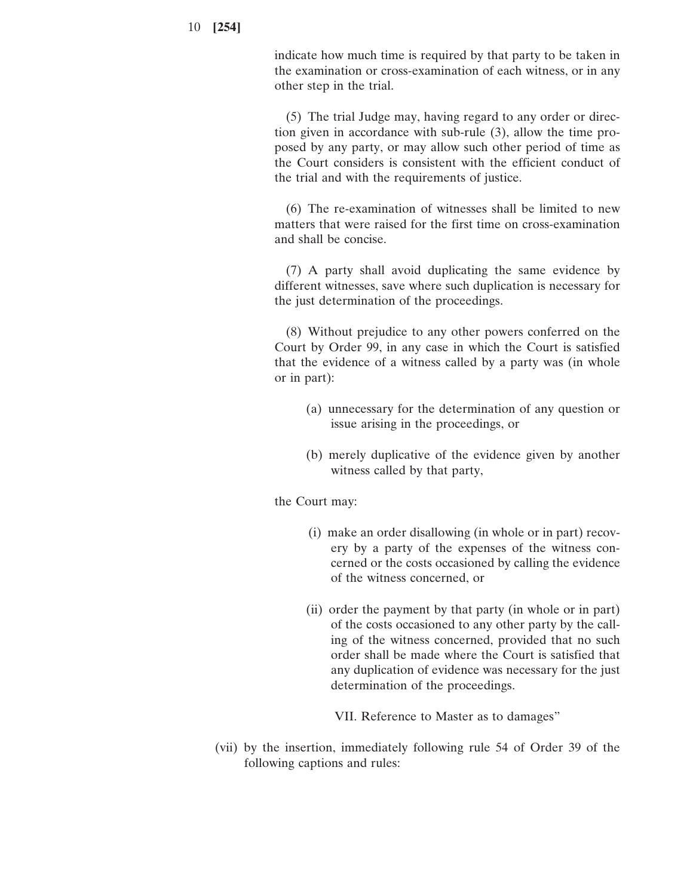indicate how much time is required by that party to be taken in the examination or cross-examination of each witness, or in any other step in the trial.

(5) The trial Judge may, having regard to any order or direction given in accordance with sub-rule (3), allow the time proposed by any party, or may allow such other period of time as the Court considers is consistent with the efficient conduct of the trial and with the requirements of justice.

(6) The re-examination of witnesses shall be limited to new matters that were raised for the first time on cross-examination and shall be concise.

(7) A party shall avoid duplicating the same evidence by different witnesses, save where such duplication is necessary for the just determination of the proceedings.

(8) Without prejudice to any other powers conferred on the Court by Order 99, in any case in which the Court is satisfied that the evidence of a witness called by a party was (in whole or in part):

- (a) unnecessary for the determination of any question or issue arising in the proceedings, or
- (b) merely duplicative of the evidence given by another witness called by that party,

the Court may:

- (i) make an order disallowing (in whole or in part) recovery by a party of the expenses of the witness concerned or the costs occasioned by calling the evidence of the witness concerned, or
- (ii) order the payment by that party (in whole or in part) of the costs occasioned to any other party by the calling of the witness concerned, provided that no such order shall be made where the Court is satisfied that any duplication of evidence was necessary for the just determination of the proceedings.

VII. Reference to Master as to damages"

(vii) by the insertion, immediately following rule 54 of Order 39 of the following captions and rules: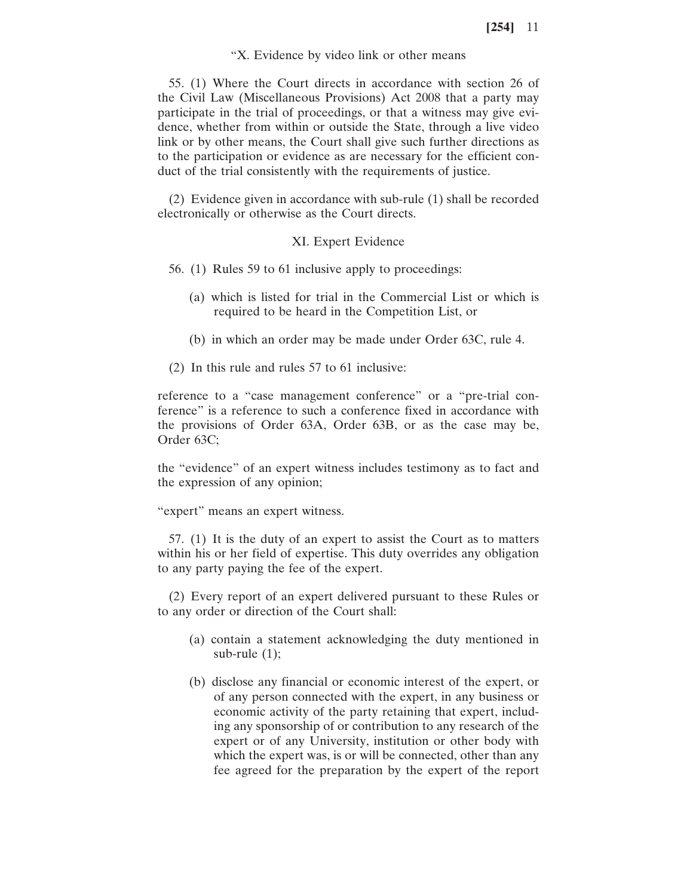#### "X. Evidence by video link or other means

55. (1) Where the Court directs in accordance with section 26 of the Civil Law (Miscellaneous Provisions) Act 2008 that a party may participate in the trial of proceedings, or that a witness may give evidence, whether from within or outside the State, through a live video link or by other means, the Court shall give such further directions as to the participation or evidence as are necessary for the efficient conduct of the trial consistently with the requirements of justice.

(2) Evidence given in accordance with sub-rule (1) shall be recorded electronically or otherwise as the Court directs.

### XI. Expert Evidence

- 56. (1) Rules 59 to 61 inclusive apply to proceedings:
	- (a) which is listed for trial in the Commercial List or which is required to be heard in the Competition List, or
	- (b) in which an order may be made under Order 63C, rule 4.
- (2) In this rule and rules 57 to 61 inclusive:

reference to a "case management conference" or a "pre-trial conference" is a reference to such a conference fixed in accordance with the provisions of Order 63A, Order 63B, or as the case may be, Order 63C;

the "evidence" of an expert witness includes testimony as to fact and the expression of any opinion;

"expert" means an expert witness.

57. (1) It is the duty of an expert to assist the Court as to matters within his or her field of expertise. This duty overrides any obligation to any party paying the fee of the expert.

(2) Every report of an expert delivered pursuant to these Rules or to any order or direction of the Court shall:

- (a) contain a statement acknowledging the duty mentioned in sub-rule (1);
- (b) disclose any financial or economic interest of the expert, or of any person connected with the expert, in any business or economic activity of the party retaining that expert, including any sponsorship of or contribution to any research of the expert or of any University, institution or other body with which the expert was, is or will be connected, other than any fee agreed for the preparation by the expert of the report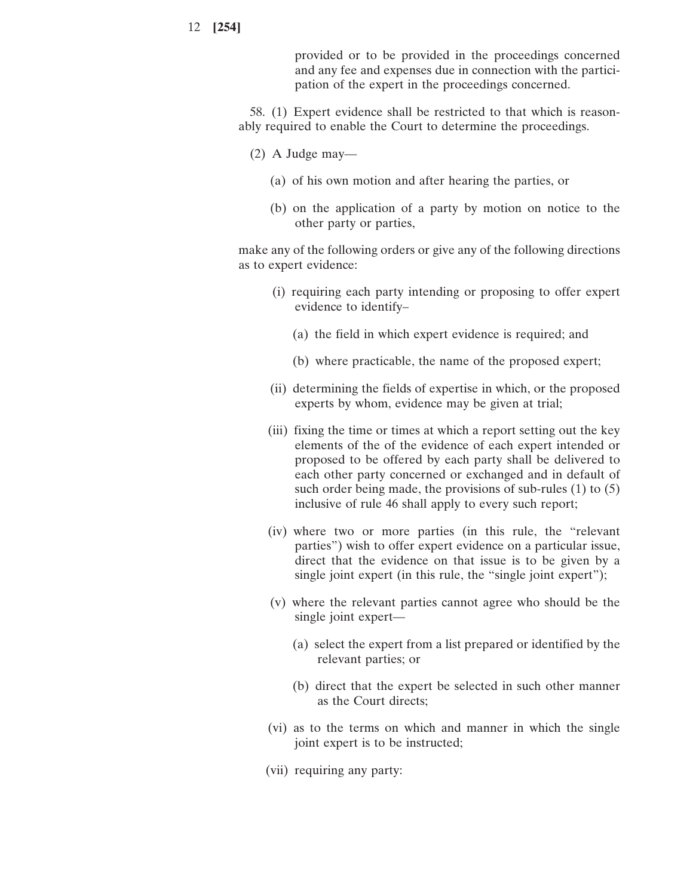provided or to be provided in the proceedings concerned and any fee and expenses due in connection with the participation of the expert in the proceedings concerned.

58. (1) Expert evidence shall be restricted to that which is reasonably required to enable the Court to determine the proceedings.

- (2) A Judge may—
	- (a) of his own motion and after hearing the parties, or
	- (b) on the application of a party by motion on notice to the other party or parties,

make any of the following orders or give any of the following directions as to expert evidence:

- (i) requiring each party intending or proposing to offer expert evidence to identify–
	- (a) the field in which expert evidence is required; and
	- (b) where practicable, the name of the proposed expert;
- (ii) determining the fields of expertise in which, or the proposed experts by whom, evidence may be given at trial;
- (iii) fixing the time or times at which a report setting out the key elements of the of the evidence of each expert intended or proposed to be offered by each party shall be delivered to each other party concerned or exchanged and in default of such order being made, the provisions of sub-rules (1) to (5) inclusive of rule 46 shall apply to every such report;
- (iv) where two or more parties (in this rule, the "relevant parties") wish to offer expert evidence on a particular issue, direct that the evidence on that issue is to be given by a single joint expert (in this rule, the "single joint expert");
- (v) where the relevant parties cannot agree who should be the single joint expert—
	- (a) select the expert from a list prepared or identified by the relevant parties; or
	- (b) direct that the expert be selected in such other manner as the Court directs;
- (vi) as to the terms on which and manner in which the single joint expert is to be instructed;
- (vii) requiring any party: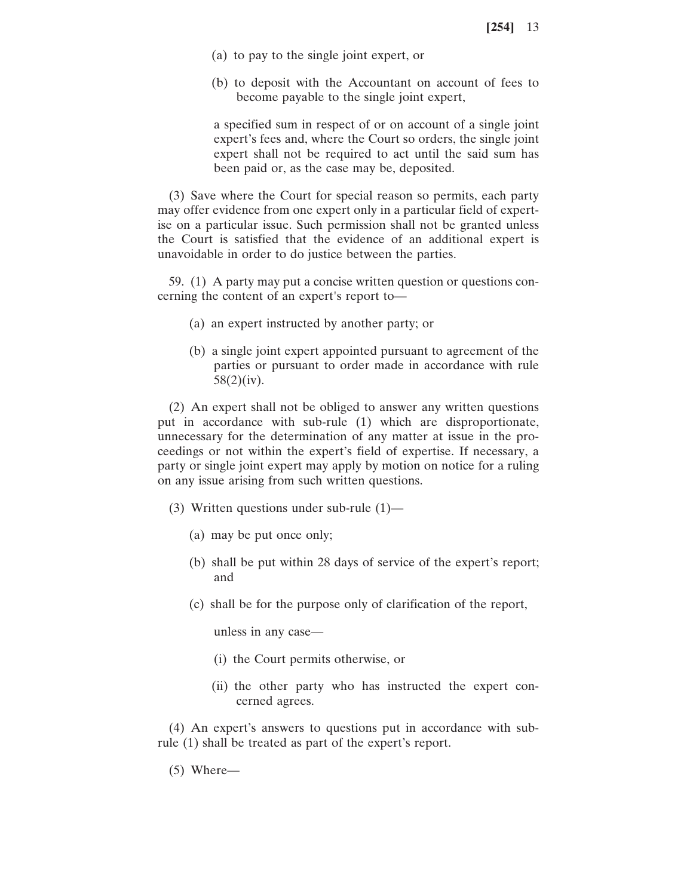- (a) to pay to the single joint expert, or
- (b) to deposit with the Accountant on account of fees to become payable to the single joint expert,

a specified sum in respect of or on account of a single joint expert's fees and, where the Court so orders, the single joint expert shall not be required to act until the said sum has been paid or, as the case may be, deposited.

(3) Save where the Court for special reason so permits, each party may offer evidence from one expert only in a particular field of expertise on a particular issue. Such permission shall not be granted unless the Court is satisfied that the evidence of an additional expert is unavoidable in order to do justice between the parties.

59. (1) A party may put a concise written question or questions concerning the content of an expert's report to—

- (a) an expert instructed by another party; or
- (b) a single joint expert appointed pursuant to agreement of the parties or pursuant to order made in accordance with rule 58(2)(iv).

(2) An expert shall not be obliged to answer any written questions put in accordance with sub-rule (1) which are disproportionate, unnecessary for the determination of any matter at issue in the proceedings or not within the expert's field of expertise. If necessary, a party or single joint expert may apply by motion on notice for a ruling on any issue arising from such written questions.

- (3) Written questions under sub-rule (1)—
	- (a) may be put once only;
	- (b) shall be put within 28 days of service of the expert's report; and
	- (c) shall be for the purpose only of clarification of the report,

unless in any case—

- (i) the Court permits otherwise, or
- (ii) the other party who has instructed the expert concerned agrees.

(4) An expert's answers to questions put in accordance with subrule (1) shall be treated as part of the expert's report.

(5) Where—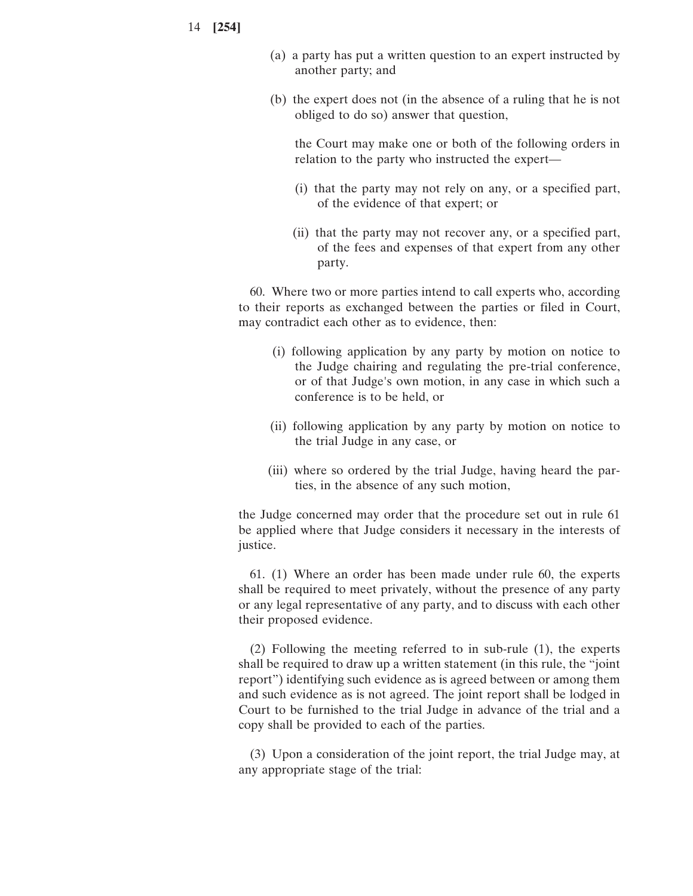- (a) a party has put a written question to an expert instructed by another party; and
- (b) the expert does not (in the absence of a ruling that he is not obliged to do so) answer that question,

the Court may make one or both of the following orders in relation to the party who instructed the expert—

- (i) that the party may not rely on any, or a specified part, of the evidence of that expert; or
- (ii) that the party may not recover any, or a specified part, of the fees and expenses of that expert from any other party.

60. Where two or more parties intend to call experts who, according to their reports as exchanged between the parties or filed in Court, may contradict each other as to evidence, then:

- (i) following application by any party by motion on notice to the Judge chairing and regulating the pre-trial conference, or of that Judge's own motion, in any case in which such a conference is to be held, or
- (ii) following application by any party by motion on notice to the trial Judge in any case, or
- (iii) where so ordered by the trial Judge, having heard the parties, in the absence of any such motion,

the Judge concerned may order that the procedure set out in rule 61 be applied where that Judge considers it necessary in the interests of justice.

61. (1) Where an order has been made under rule 60, the experts shall be required to meet privately, without the presence of any party or any legal representative of any party, and to discuss with each other their proposed evidence.

(2) Following the meeting referred to in sub-rule (1), the experts shall be required to draw up a written statement (in this rule, the "joint report") identifying such evidence as is agreed between or among them and such evidence as is not agreed. The joint report shall be lodged in Court to be furnished to the trial Judge in advance of the trial and a copy shall be provided to each of the parties.

(3) Upon a consideration of the joint report, the trial Judge may, at any appropriate stage of the trial: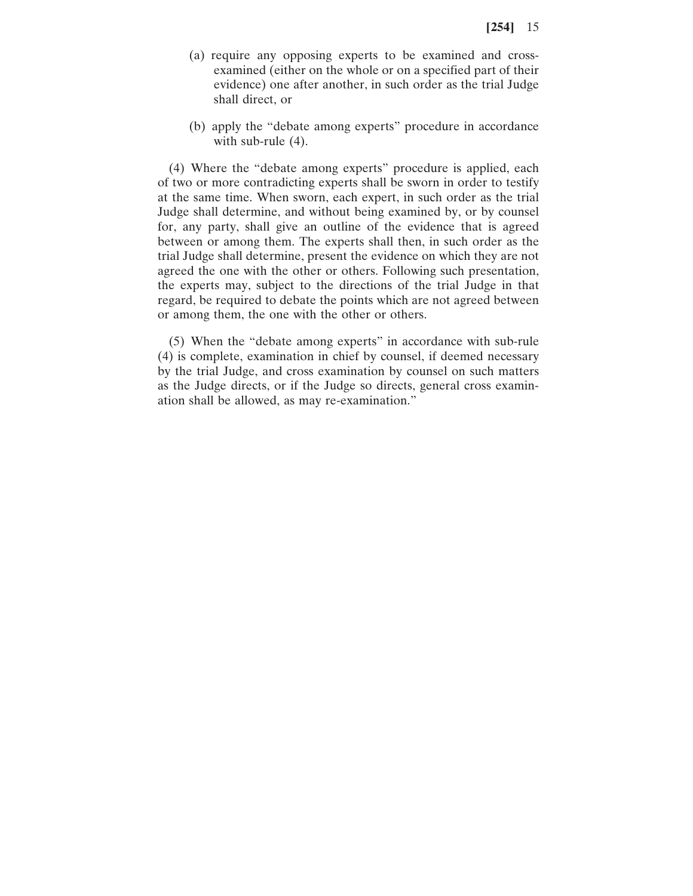- (a) require any opposing experts to be examined and crossexamined (either on the whole or on a specified part of their evidence) one after another, in such order as the trial Judge shall direct, or
- (b) apply the "debate among experts" procedure in accordance with sub-rule (4).

(4) Where the "debate among experts" procedure is applied, each of two or more contradicting experts shall be sworn in order to testify at the same time. When sworn, each expert, in such order as the trial Judge shall determine, and without being examined by, or by counsel for, any party, shall give an outline of the evidence that is agreed between or among them. The experts shall then, in such order as the trial Judge shall determine, present the evidence on which they are not agreed the one with the other or others. Following such presentation, the experts may, subject to the directions of the trial Judge in that regard, be required to debate the points which are not agreed between or among them, the one with the other or others.

(5) When the "debate among experts" in accordance with sub-rule (4) is complete, examination in chief by counsel, if deemed necessary by the trial Judge, and cross examination by counsel on such matters as the Judge directs, or if the Judge so directs, general cross examination shall be allowed, as may re-examination."